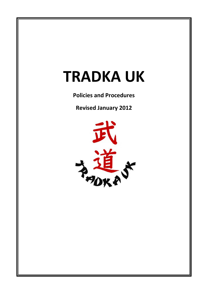# **TRADKA UK**

**Policies and Procedures**

**Revised January 2012**

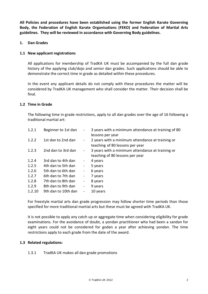**All Policies and procedures have been established using the former English Karate Governing Body, the Federation of English Karate Organisations (FEKO) and Federation of Martial Arts guidelines. They will be reviewed in accordance with Governing Body guidelines.**

## **1. Dan Grades**

## **1.1 New applicant registrations**

All applications for membership of TradKA UK must be accompanied by the full dan grade history of the applying club/dojo and senior dan grades. Such applications should be able to demonstrate the correct time in grade as detailed within these procedures.

In the event any applicant details do not comply with these procedures the matter will be considered by TradKA UK management who shall consider the matter. Their decision shall be final.

#### **1.2 Time in Grade**

The following time in grade restrictions, apply to all dan grades over the age of 16 following a traditional martial art:

| 1.2.1  | Beginner to 1st dan | $\blacksquare$               | 3 years with a minimum attendance at training of 80<br>lessons per year             |
|--------|---------------------|------------------------------|-------------------------------------------------------------------------------------|
| 1.2.2  | 1st dan to 2nd dan  | $\blacksquare$               | 2 years with a minimum attendance at training or<br>teaching of 80 lessons per year |
| 1.2.3  | 2nd dan to 3rd dan  | $\blacksquare$               | 3 years with a minimum attendance at training or<br>teaching of 80 lessons per year |
| 1.2.4  | 3rd dan to 4th dan  | $\blacksquare$               | 4 years                                                                             |
| 1.2.5  | 4th dan to 5th dan  | $\qquad \qquad \blacksquare$ | 5 years                                                                             |
| 1.2.6  | 5th dan to 6th dan  | $\qquad \qquad \blacksquare$ | 6 years                                                                             |
| 1.2.7  | 6th dan to 7th dan  | $\qquad \qquad \blacksquare$ | 7 years                                                                             |
| 1.2.8  | 7th dan to 8th dan  | $\qquad \qquad \blacksquare$ | 8 years                                                                             |
| 1.2.9  | 8th dan to 9th dan  | $\qquad \qquad \blacksquare$ | 9 years                                                                             |
| 1.2.10 | 9th dan to 10th dan | $\qquad \qquad \blacksquare$ | 10 years                                                                            |

For freestyle martial arts dan grade progression may follow shorter time periods than those specified for more traditional martial arts but these must be agreed with TradKA UK.

It is not possible to apply any catch up or aggregate time when considering eligibility for grade examinations. For the avoidance of doubt, a yondan practitioner who had been a sandan for eight years could not be considered for godan a year after achieving yondan. The time restrictions apply to each grade from the date of the award.

#### **1.3 Related regulations:**

#### 1.3.1 TradKA UK makes all dan grade promotions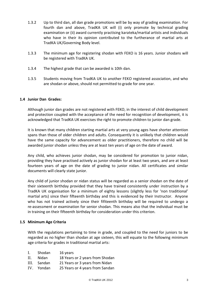- 1.3.2 Up to third dan, all dan grade promotions will be by way of grading examination. For fourth dan and above, TradKA UK will (i) only promote by technical grading examination or (ii) award currently practising karateka/martial artists and individuals who have in their its opinion contributed to the furtherance of martial arts at TradKA UK/Governing Body level.
- 1.3.3 The minimum age for registering shodan with FEKO is 16 years. Junior shodans will be registered with TradKA UK.
- 1.3.4 The highest grade that can be awarded is 10th dan.
- 1.3.5 Students moving from TradKA UK to another FEKO registered association, and who are shodan or above, should not permitted to grade for one year.

## **1.4 Junior Dan Grades:**

Although junior dan grades are not registered with FEKO, in the interest of child development and protection coupled with the acceptance of the need for recognition of development, it is acknowledged that TradKA UK exercises the right to promote children to junior dan grade.

It is known that many children starting martial arts at very young ages have shorter attention spans than those of older children and adults. Consequently it is unlikely that children would have the same capacity for advancement as older practitioners, therefore no child will be awarded junior shodan unless they are at least ten years of age on the date of award.

Any child, who achieves junior shodan, may be considered for promotion to junior nidan, providing they have practised actively as junior shodan for at least two years, and are at least fourteen years of age on the date of grading to junior nidan. All certificates and similar documents will clearly state junior.

Any child of junior shodan or nidan status will be regarded as a senior shodan on the date of their sixteenth birthday provided that they have trained consistently under instruction by a TradKA UK organisation for a minimum of eighty lessons (slightly less for 'non traditional' martial arts) since their fifteenth birthday and this is evidenced by their Instructor. Anyone who has not trained actively since their fifiteenth birthday will be required to undergo a re-assessment or examination for senior shodan. This means also that the individual must be in training on their fifteenth birthday for consideration under this criterion.

#### **1.5 Minimum Age Criteria**

With the regulations pertaining to time in grade, and coupled to the need for juniors to be regarded as no higher than shodan at age sixteen, this will equate to the following minimum age criteria for grades in traditional martial arts:

| I. | Shodan      | 16 years                        |
|----|-------------|---------------------------------|
| Н. | Nidan       | 18 Years or 2 years from Shodan |
|    | III. Sandan | 21 Years or 3 years from Nidan  |
|    | IV. Yondan  | 25 Years or 4 years from Sandan |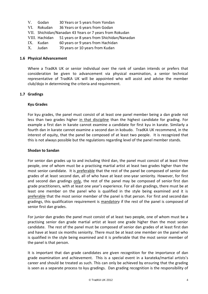- V. Godan 30 Years or 5 years from Yondan
- VI. Rokudan 36 Years or 6 years from Godan
- VII. Shichidan/Nanadan 43 Years or 7 years from Rokudan
- VIII. Hachidan 51 years or 8 years from Shichidan/Nanadan
- IX. Kudan 60 years or 9 years from Hachidan
- X. Judan 70 years or 10 years from Kudan

#### **1.6 Physical Advancement**

Where a TradKA UK or senior individual over the rank of sandan intends or prefers that consideration be given to advancement via physical examination, a senior technical representative of TradKA UK will be appointed who will assist and advise the member club/dojo in determining the criteria and requirement.

#### **1.7 Gradings**

#### **Kyu Grades**

For kyu grades, the panel must consist of at least one panel member being a dan grade not less than two grades higher in that discipline than the highest candidate for grading. For example a first dan in karate cannot examine a candidate for first kyu in karate. Similarly a fourth dan in karate cannot examine a second dan in kobudo. TradKA UK recommend, in the interest of equity, that the panel be composed of at least two people. It is recognized that this is not always possible but the regulations regarding level of the panel member stands.

#### **Shodan to Sandan**

For senior dan grades up to and including third dan, the panel must consist of at least three people, one of whom must be a practising martial artist at least two grades higher than the most senior candidate. It is preferable that the rest of the panel be composed of senior dan grades of at least second dan, all of who have at least one-year seniority. However, for first and second dan gradings only, the rest of the panel may be composed of senior first dan grade practitioners, with at least one year's experience. For all dan gradings, there must be at least one member on the panel who is qualified in the style being examined and it is preferable that the most senior member of the panel is that person. For first and second dan gradings, this qualification requirement is mandatory if the rest of the panel is composed of senior first dan grades.

For junior dan grades the panel must consist of at least two people, one of whom must be a practising senior dan grade martial artist at least one grade higher than the most senior candidate. The rest of the panel must be composed of senior dan grades of at least first dan and have at least six months seniority. There must be at least one member on the panel who is qualified in the style being examined and it is preferable that the most senior member of the panel is that person.

It is important that dan grade candidates are given recognition for the importance of dan grade examination and achievement. This is a special event in a karateka/martial artists's career and should be treated as such. This can only be achieved by ensuring that the grading is seen as a separate process to kyu gradings. Dan grading recognition is the responsibility of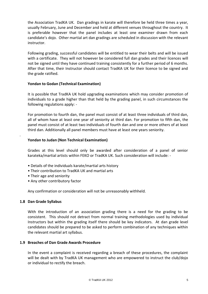the Association TradKA UK. Dan gradings in karate will therefore be held three times a year, usually February, June and December and held at different venues throughout the country. It is preferable however that the panel includes at least one examiner drawn from each candidate's dojo. Other martial art dan gradings are scheduled in discussion with the relevant instructor.

Following grading, successful candidates will be entitled to wear their belts and will be issued with a certificate. They will not however be considered full dan grades and their licences will not be signed until they have continued training consistently for a further period of 6 months. After that time, their Instructor should contact TradKA UK for their licence to be signed and the grade ratified.

## **Yondan to Godan (Technical Examination)**

It is possible that TradKA UK hold upgrading examinations which may consider promotion of individuals to a grade higher than that held by the grading panel, in such circumstances the following regulations apply: -

For promotion to fourth dan, the panel must consist of at least three individuals of third dan, all of whom have at least one year of seniority at third dan. For promotion to fifth dan, the panel must consist of at least two individuals of fourth dan and one or more others of at least third dan. Additionally all panel members must have at least one years seniority.

## **Yondan to Judan (Non Technical Examination)**

Grades at this level should only be awarded after consideration of a panel of senior karateka/martial artists within FEKO or TradKA UK. Such consideration will include: -

- Details of the individuals karate/martial arts history
- Their contribution to TradKA UK and martial arts
- Their age and seniority
- Any other contributory factor

Any confirmation or consideration will not be unreasonably withheld.

#### **1.8 Dan Grade Syllabus**

*.*

With the introduction of an association grading there is a need for the grading to be consistent. This should not detract from normal training methodologies used by individual Instructors but within the grading itself there should be key indicators. At dan grade level candidates should be prepared to be asked to perform combination of any techniques within the relevant martial art syllabus.

## **1.9 Breaches of Dan Grade Awards Procedure**

In the event a complaint is received regarding a breach of these procedures, the complaint will be dealt with by TradKA UK management who are empowered to instruct the club/dojo or individual to rectify the breach.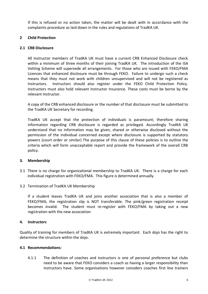If this is refused or no action taken, the matter will be dealt with in accordance with the complaints procedure as laid down in the rules and regulations of TradKA UK.

## **2 Child Protection**

#### **2.1 CRB Disclosure**

All Instructor members of TradKA UK must have a current CRB Enhanced Disclosure check within a minimum of three months of their joining TradKA UK. The introduction of the ISA Vetting Scheme will supersede all arrangements. For those who are issued with FEKO/FMA Licences that enhanced disclosure must be through FEKO. Failure to undergo such a check means that they must not work with children unsupervised and will not be registered as Instructors. Instructors should also register under the FEKO Child Protection Policy. Instructors must also hold relevant Instructor Insurance. These costs must be borne by the relevant Instructor.

A copy of the CRB enhanced disclosure or the number of that disclosure must be submitted to the TradKA UK Secretary for recording.

TradKA UK accept that the protection of individuals is paramount; therefore sharing information regarding CRB disclosure is regarded as privileged. Accordingly TradKA UK understand that no information may be given, shared or otherwise disclosed without the permission of the individual concerned except where disclosure is supported by statutory powers (court order or similar) The purpose of this clause of these policies is to outline the criteria which will form unacceptable report and provide the framework of the overall CRB policy.

#### **3. Membership**

- 3.1 There is no charge for organizational membership to TradKA UK. There is a charge for each individual registration with FEKO/FMA. This figure is determined annually.
- 3.2 Termination of TradKA UK Membership

If a student leaves TradKA UK and joins another association that is also a member of FEKO/FMA, the registration slip is NOT transferable. The pink/green registration receipt becomes invalid. The student must re-register with FEKO/FMA by taking out a new registration with the new association

#### **4. Instructors**

Quality of training for members of TradKA UK is extremely important. Each dojo has the right to determine the structure within the dojo.

#### **4.1 Recommendations:**

4.1.1 The definition of coaches and instructors is one of personal preference but clubs need to be aware that FEKO considers a coach as having a larger responsibility than instructors have. Some organisations however considers coaches first line trainers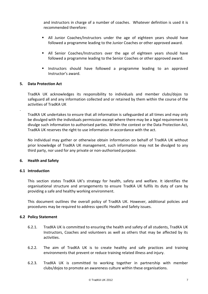and instructors in charge of a number of coaches. Whatever definition is used it is recommended therefore:

- All Junior Coaches/Instructors under the age of eighteen years should have followed a programme leading to the Junior Coaches or other approved award.
- All Senior Coaches/Instructors over the age of eighteen years should have followed a programme leading to the Senior Coaches or other approved award.
- **Instructors should have followed a programme leading to an approved** Instructor's award.

## **5. Data Protection Act**

.

TradKA UK acknowledges its responsibility to individuals and member clubs/dojos to safeguard all and any information collected and or retained by them within the course of the activities of TradKA UK

TradKA UK undertakes to ensure that all information is safeguarded at all times and may only be divulged with the individuals permission except where there may be a legal requirement to divulge such information to authorised parties. Within the context or the Data Protection Act, TradKA UK reserves the right to use information in accordance with the act.

No individual may gather or otherwise obtain information on behalf of TradKA UK without prior knowledge of TradKA UK management, such information may not be divulged to any third party, nor used for any private or non-authorised purpose.

#### **6. Health and Safety**

#### **6.1 Introduction**

This section states TradKA UK's strategy for health, safety and welfare. It identifies the organisational structure and arrangements to ensure TradKA UK fulfils its duty of care by providing a safe and healthy working environment.

This document outlines the overall policy of TradKA UK. However, additional policies and procedures may be required to address specific Health and Safety issues.

#### **6.2 Policy Statement**

- 6.2.1. TradKA UK is committed to ensuring the health and safety of all students, TradKA UK Instructors, Coaches and volunteers as well as others that may be affected by its activities.
- 6.2.2. The aim of TradKA UK is to create healthy and safe practices and training environments that prevent or reduce training related illness and injury.
- 6.2.3. TradKA UK is committed to working together in partnership with member clubs/dojos to promote an awareness culture within these organisations.